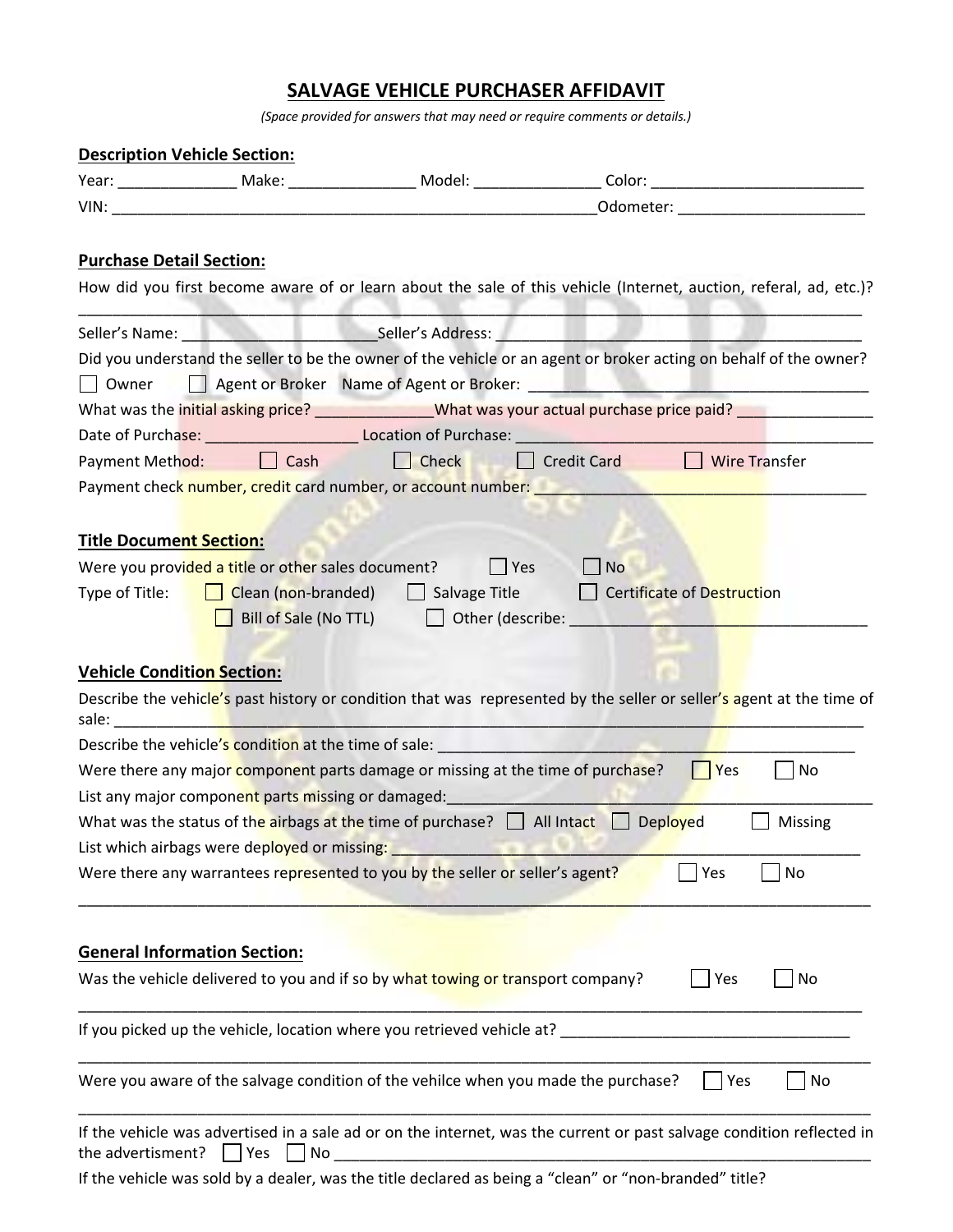## **SALVAGE VEHICLE PURCHASER AFFIDAVIT**

*(Space provided for answers that may need or require comments or details.)*

| <b>Description Vehicle Section:</b> |                                                    |                                                                                                                                                                                                                                |                                                                                                                                                                                                                               |
|-------------------------------------|----------------------------------------------------|--------------------------------------------------------------------------------------------------------------------------------------------------------------------------------------------------------------------------------|-------------------------------------------------------------------------------------------------------------------------------------------------------------------------------------------------------------------------------|
|                                     |                                                    |                                                                                                                                                                                                                                | Year: ___________________ Make: ____________________ Model: ___________________Color: ________________________                                                                                                                |
|                                     |                                                    |                                                                                                                                                                                                                                | Odometer: New York Products and Second Products and Second Products and Second Products and Products and Products and Products and Products and Products and Products and Products and Products and Products and Products and |
| <b>Purchase Detail Section:</b>     |                                                    |                                                                                                                                                                                                                                | How did you first become aware of or learn about the sale of this vehicle (Internet, auction, referal, ad, etc.)?                                                                                                             |
|                                     |                                                    |                                                                                                                                                                                                                                |                                                                                                                                                                                                                               |
|                                     |                                                    |                                                                                                                                                                                                                                | Did you understand the seller to be the owner of the vehicle or an agent or broker acting on behalf of the owner?                                                                                                             |
| Owner                               |                                                    |                                                                                                                                                                                                                                |                                                                                                                                                                                                                               |
|                                     |                                                    |                                                                                                                                                                                                                                | What was the initial asking price? ______________What was your actual purchase price paid? _______________                                                                                                                    |
|                                     |                                                    |                                                                                                                                                                                                                                |                                                                                                                                                                                                                               |
|                                     |                                                    |                                                                                                                                                                                                                                | Date of Purchase: Cambridge Location of Purchase: Cambridge Location of Purchase:                                                                                                                                             |
| Payment Method:                     | $\Box$ Cash                                        | $L$ Check                                                                                                                                                                                                                      | $\Box$ Wire Transfer<br>  Credit Card                                                                                                                                                                                         |
|                                     |                                                    | Payment check number, credit card number, or account number:                                                                                                                                                                   |                                                                                                                                                                                                                               |
|                                     |                                                    |                                                                                                                                                                                                                                |                                                                                                                                                                                                                               |
| <b>Title Document Section:</b>      |                                                    |                                                                                                                                                                                                                                |                                                                                                                                                                                                                               |
|                                     | Were you provided a title or other sales document? | $ $ Yes                                                                                                                                                                                                                        | <b>No</b>                                                                                                                                                                                                                     |
| Type of Title:                      | Clean (non-branded)                                | $\Box$ Salvage Title $\Box$                                                                                                                                                                                                    | Certificate of Destruction                                                                                                                                                                                                    |
|                                     | Bill of Sale (No TTL)                              |                                                                                                                                                                                                                                | Other (describe: The Contract of the Contract of the Contract of the Contract of the Contract of the Contract o                                                                                                               |
|                                     |                                                    |                                                                                                                                                                                                                                |                                                                                                                                                                                                                               |
| <b>Vehicle Condition Section:</b>   |                                                    |                                                                                                                                                                                                                                |                                                                                                                                                                                                                               |
|                                     |                                                    |                                                                                                                                                                                                                                | Describe the vehicle's past history or condition that was represented by the seller or seller's agent at the time of                                                                                                          |
|                                     |                                                    | sale: the contract of the contract of the contract of the contract of the contract of the contract of the contract of the contract of the contract of the contract of the contract of the contract of the contract of the cont |                                                                                                                                                                                                                               |
|                                     |                                                    | Describe the vehicle's condition at the time of sale: __________________________                                                                                                                                               |                                                                                                                                                                                                                               |
|                                     |                                                    | Were there any major component parts damage or missing at the time of purchase?                                                                                                                                                | $ $ Yes<br>No                                                                                                                                                                                                                 |
|                                     |                                                    |                                                                                                                                                                                                                                |                                                                                                                                                                                                                               |
|                                     |                                                    | List any major component parts missing or damaged: <b>All any major component parts in the set of the set of the s</b>                                                                                                         |                                                                                                                                                                                                                               |
|                                     |                                                    | What was the status of the airbags at the time of purchase? $\Box$ All Intact $\Box$ Deployed                                                                                                                                  | Missing                                                                                                                                                                                                                       |
|                                     | List which airbags were deployed or missing:       |                                                                                                                                                                                                                                |                                                                                                                                                                                                                               |
|                                     |                                                    | Were there any warrantees represented to you by the seller or seller's agent?                                                                                                                                                  | Yes<br>No                                                                                                                                                                                                                     |
|                                     |                                                    |                                                                                                                                                                                                                                |                                                                                                                                                                                                                               |
|                                     |                                                    |                                                                                                                                                                                                                                |                                                                                                                                                                                                                               |
|                                     | <b>General Information Section:</b>                |                                                                                                                                                                                                                                |                                                                                                                                                                                                                               |
|                                     |                                                    | Was the vehicle delivered to you and if so by what towing or transport company?                                                                                                                                                | <b>Yes</b><br>No                                                                                                                                                                                                              |
|                                     |                                                    |                                                                                                                                                                                                                                |                                                                                                                                                                                                                               |
|                                     |                                                    | If you picked up the vehicle, location where you retrieved vehicle at?                                                                                                                                                         |                                                                                                                                                                                                                               |
|                                     |                                                    |                                                                                                                                                                                                                                |                                                                                                                                                                                                                               |
|                                     |                                                    | Were you aware of the salvage condition of the vehilce when you made the purchase?                                                                                                                                             | No<br>Yes                                                                                                                                                                                                                     |
|                                     |                                                    |                                                                                                                                                                                                                                |                                                                                                                                                                                                                               |
|                                     |                                                    |                                                                                                                                                                                                                                | If the vehicle was advertised in a sale ad or on the internet, was the current or past salvage condition reflected in                                                                                                         |
| the advertisment?                   | Yes<br>No                                          |                                                                                                                                                                                                                                |                                                                                                                                                                                                                               |
|                                     |                                                    |                                                                                                                                                                                                                                | If the vehicle was sold by a dealer, was the title declared as being a "clean" or "non-branded" title?                                                                                                                        |
|                                     |                                                    |                                                                                                                                                                                                                                |                                                                                                                                                                                                                               |